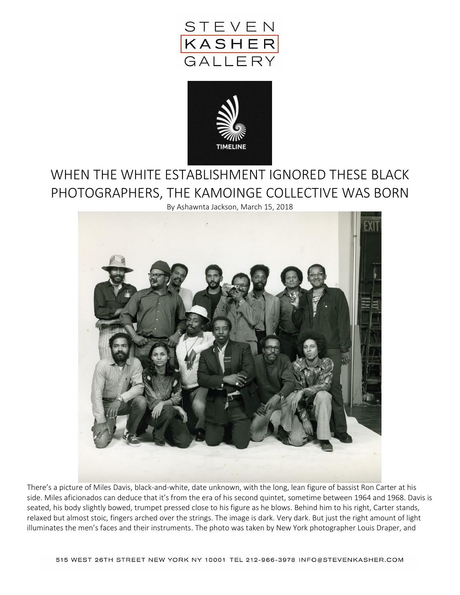



## WHEN THE WHITE ESTABLISHMENT IGNORED THESE BLACK PHOTOGRAPHERS, THE KAMOINGE COLLECTIVE WAS BORN

By Ashawnta Jackson, March 15, 2018



There's a picture of Miles Davis, black-and-white, date unknown, with the long, lean figure of bassist Ron Carter at his side. Miles aficionados can deduce that it's from the era of his second quintet, sometime between 1964 and 1968. Davis is seated, his body slightly bowed, trumpet pressed close to his figure as he blows. Behind him to his right, Carter stands, relaxed but almost stoic, fingers arched over the strings. The image is dark. Very dark. But just the right amount of light illuminates the men's faces and their instruments. The photo was taken by New York photographer Louis Draper, and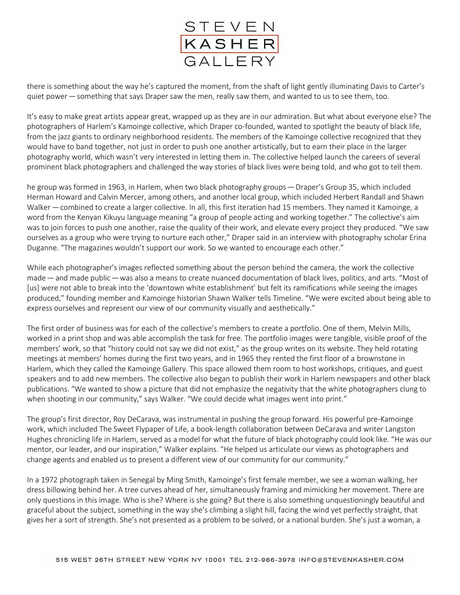

there is something about the way he's captured the moment, from the shaft of light gently illuminating Davis to Carter's quiet power — something that says Draper saw the men, really saw them, and wanted to us to see them, too.

It's easy to make great artists appear great, wrapped up as they are in our admiration. But what about everyone else? The photographers of Harlem's Kamoinge collective, which Draper co-founded, wanted to spotlight the beauty of black life, from the jazz giants to ordinary neighborhood residents. The members of the Kamoinge collective recognized that they would have to band together, not just in order to push one another artistically, but to earn their place in the larger photography world, which wasn't very interested in letting them in. The collective helped launch the careers of several prominent black photographers and challenged the way stories of black lives were being told, and who got to tell them.

he group was formed in 1963, in Harlem, when two black photography groups — Draper's Group 35, which included Herman Howard and Calvin Mercer, among others, and another local group, which included Herbert Randall and Shawn Walker — combined to create a larger collective. In all, this first iteration had 15 members. They named it Kamoinge, a word from the Kenyan Kikuyu language meaning "a group of people acting and working together." The collective's aim was to join forces to push one another, raise the quality of their work, and elevate every project they produced. "We saw ourselves as a group who were trying to nurture each other," Draper said in an interview with photography scholar Erina Duganne. "The magazines wouldn't support our work. So we wanted to encourage each other."

While each photographer's images reflected something about the person behind the camera, the work the collective made — and made public — was also a means to create nuanced documentation of black lives, politics, and arts. "Most of [us] were not able to break into the 'downtown white establishment' but felt its ramifications while seeing the images produced," founding member and Kamoinge historian Shawn Walker tells Timeline. "We were excited about being able to express ourselves and represent our view of our community visually and aesthetically."

The first order of business was for each of the collective's members to create a portfolio. One of them, Melvin Mills, worked in a print shop and was able accomplish the task for free. The portfolio images were tangible, visible proof of the members' work, so that "history could not say we did not exist," as the group writes on its website. They held rotating meetings at members' homes during the first two years, and in 1965 they rented the first floor of a brownstone in Harlem, which they called the Kamoinge Gallery. This space allowed them room to host workshops, critiques, and guest speakers and to add new members. The collective also began to publish their work in Harlem newspapers and other black publications. "We wanted to show a picture that did not emphasize the negativity that the white photographers clung to when shooting in our community," says Walker. "We could decide what images went into print."

The group's first director, Roy DeCarava, was instrumental in pushing the group forward. His powerful pre-Kamoinge work, which included The Sweet Flypaper of Life, a book-length collaboration between DeCarava and writer Langston Hughes chronicling life in Harlem, served as a model for what the future of black photography could look like. "He was our mentor, our leader, and our inspiration," Walker explains. "He helped us articulate our views as photographers and change agents and enabled us to present a different view of our community for our community."

In a 1972 photograph taken in Senegal by Ming Smith, Kamoinge's first female member, we see a woman walking, her dress billowing behind her. A tree curves ahead of her, simultaneously framing and mimicking her movement. There are only questions in this image. Who is she? Where is she going? But there is also something unquestioningly beautiful and graceful about the subject, something in the way she's climbing a slight hill, facing the wind yet perfectly straight, that gives her a sort of strength. She's not presented as a problem to be solved, or a national burden. She's just a woman, a